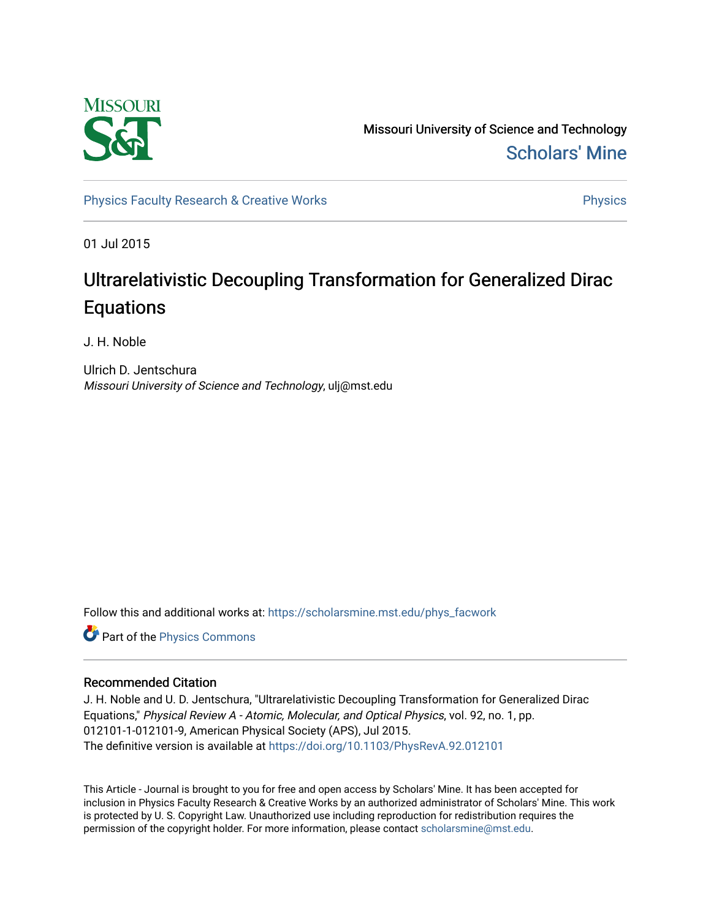

Missouri University of Science and Technology [Scholars' Mine](https://scholarsmine.mst.edu/) 

[Physics Faculty Research & Creative Works](https://scholarsmine.mst.edu/phys_facwork) **Physics** [Physics](https://scholarsmine.mst.edu/phys) Physics

01 Jul 2015

# Ultrarelativistic Decoupling Transformation for Generalized Dirac **Equations**

J. H. Noble

Ulrich D. Jentschura Missouri University of Science and Technology, ulj@mst.edu

Follow this and additional works at: [https://scholarsmine.mst.edu/phys\\_facwork](https://scholarsmine.mst.edu/phys_facwork?utm_source=scholarsmine.mst.edu%2Fphys_facwork%2F941&utm_medium=PDF&utm_campaign=PDFCoverPages) 

Part of the [Physics Commons](http://network.bepress.com/hgg/discipline/193?utm_source=scholarsmine.mst.edu%2Fphys_facwork%2F941&utm_medium=PDF&utm_campaign=PDFCoverPages)

# Recommended Citation

J. H. Noble and U. D. Jentschura, "Ultrarelativistic Decoupling Transformation for Generalized Dirac Equations," Physical Review A - Atomic, Molecular, and Optical Physics, vol. 92, no. 1, pp. 012101-1-012101-9, American Physical Society (APS), Jul 2015. The definitive version is available at <https://doi.org/10.1103/PhysRevA.92.012101>

This Article - Journal is brought to you for free and open access by Scholars' Mine. It has been accepted for inclusion in Physics Faculty Research & Creative Works by an authorized administrator of Scholars' Mine. This work is protected by U. S. Copyright Law. Unauthorized use including reproduction for redistribution requires the permission of the copyright holder. For more information, please contact [scholarsmine@mst.edu](mailto:scholarsmine@mst.edu).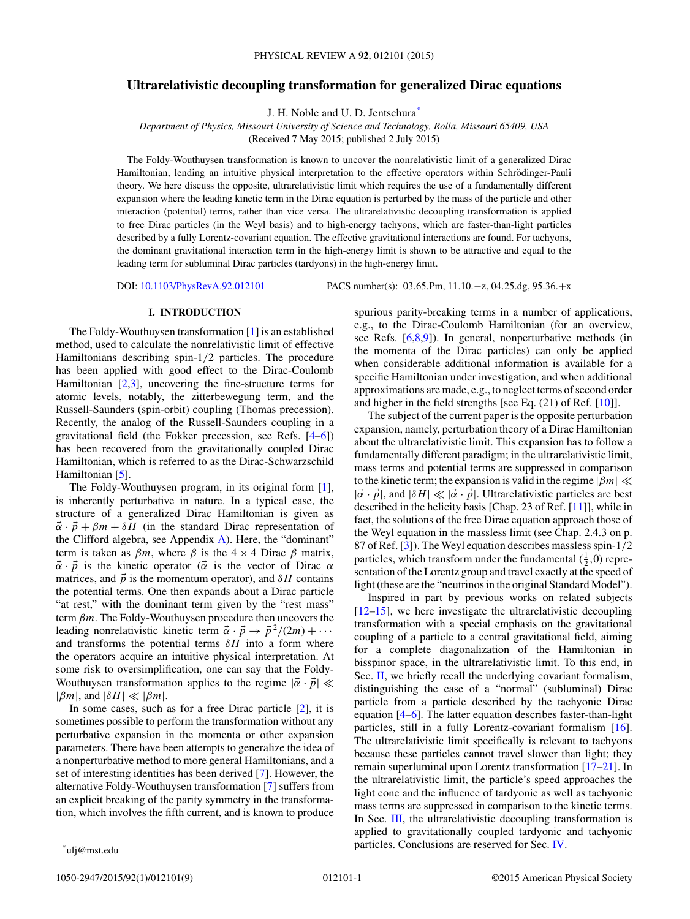# **Ultrarelativistic decoupling transformation for generalized Dirac equations**

J. H. Noble and U. D. Jentschura\*

*Department of Physics, Missouri University of Science and Technology, Rolla, Missouri 65409, USA*

(Received 7 May 2015; published 2 July 2015)

The Foldy-Wouthuysen transformation is known to uncover the nonrelativistic limit of a generalized Dirac Hamiltonian, lending an intuitive physical interpretation to the effective operators within Schrödinger-Pauli theory. We here discuss the opposite, ultrarelativistic limit which requires the use of a fundamentally different expansion where the leading kinetic term in the Dirac equation is perturbed by the mass of the particle and other interaction (potential) terms, rather than vice versa. The ultrarelativistic decoupling transformation is applied to free Dirac particles (in the Weyl basis) and to high-energy tachyons, which are faster-than-light particles described by a fully Lorentz-covariant equation. The effective gravitational interactions are found. For tachyons, the dominant gravitational interaction term in the high-energy limit is shown to be attractive and equal to the leading term for subluminal Dirac particles (tardyons) in the high-energy limit.

DOI: [10.1103/PhysRevA.92.012101](http://dx.doi.org/10.1103/PhysRevA.92.012101) PACS number(s): 03*.*65*.*Pm*,* 11*.*10*.*−z*,* 04*.*25*.*dg*,* 95*.*36*.*+x

# **I. INTRODUCTION**

The Foldy-Wouthuysen transformation [\[1\]](#page-9-0) is an established method, used to calculate the nonrelativistic limit of effective Hamiltonians describing spin-1*/*2 particles. The procedure has been applied with good effect to the Dirac-Coulomb Hamiltonian  $[2,3]$ , uncovering the fine-structure terms for atomic levels, notably, the zitterbewegung term, and the Russell-Saunders (spin-orbit) coupling (Thomas precession). Recently, the analog of the Russell-Saunders coupling in a gravitational field (the Fokker precession, see Refs. [\[4–6\]](#page-9-0)) has been recovered from the gravitationally coupled Dirac Hamiltonian, which is referred to as the Dirac-Schwarzschild Hamiltonian [\[5\]](#page-9-0).

The Foldy-Wouthuysen program, in its original form [\[1\]](#page-9-0), is inherently perturbative in nature. In a typical case, the structure of a generalized Dirac Hamiltonian is given as  $\vec{\alpha} \cdot \vec{p} + \beta m + \delta H$  (in the standard Dirac representation of the Clifford algebra, see Appendix  $\bf{A}$ ). Here, the "dominant" term is taken as  $\beta m$ , where  $\beta$  is the 4 × 4 Dirac  $\beta$  matrix,  $\vec{\alpha} \cdot \vec{p}$  is the kinetic operator ( $\vec{\alpha}$  is the vector of Dirac  $\alpha$ matrices, and  $\vec{p}$  is the momentum operator), and  $\delta H$  contains the potential terms. One then expands about a Dirac particle "at rest," with the dominant term given by the "rest mass" term *βm*. The Foldy-Wouthuysen procedure then uncovers the leading nonrelativistic kinetic term  $\vec{\alpha} \cdot \vec{p} \rightarrow \vec{p}^2/(2m) + \cdots$ and transforms the potential terms  $\delta H$  into a form where the operators acquire an intuitive physical interpretation. At some risk to oversimplification, one can say that the Foldy-Wouthuysen transformation applies to the regime  $|\vec{\alpha} \cdot \vec{p}| \ll$  $|\beta m|$ , and  $|\delta H| \ll |\beta m|$ .

In some cases, such as for a free Dirac particle [\[2\]](#page-9-0), it is sometimes possible to perform the transformation without any perturbative expansion in the momenta or other expansion parameters. There have been attempts to generalize the idea of a nonperturbative method to more general Hamiltonians, and a set of interesting identities has been derived [\[7\]](#page-9-0). However, the alternative Foldy-Wouthuysen transformation [\[7\]](#page-9-0) suffers from an explicit breaking of the parity symmetry in the transformation, which involves the fifth current, and is known to produce

spurious parity-breaking terms in a number of applications, e.g., to the Dirac-Coulomb Hamiltonian (for an overview, see Refs. [\[6,8,9\]](#page-9-0)). In general, nonperturbative methods (in the momenta of the Dirac particles) can only be applied when considerable additional information is available for a specific Hamiltonian under investigation, and when additional approximations are made, e.g., to neglect terms of second order and higher in the field strengths [see Eq. (21) of Ref. [\[10\]](#page-9-0)].

The subject of the current paper is the opposite perturbation expansion, namely, perturbation theory of a Dirac Hamiltonian about the ultrarelativistic limit. This expansion has to follow a fundamentally different paradigm; in the ultrarelativistic limit, mass terms and potential terms are suppressed in comparison to the kinetic term; the expansion is valid in the regime  $|\beta m| \ll$  $|\vec{\alpha} \cdot \vec{p}|$ , and  $|\delta H| \ll |\vec{\alpha} \cdot \vec{p}|$ . Ultrarelativistic particles are best described in the helicity basis [Chap. 23 of Ref. [\[11\]](#page-9-0)], while in fact, the solutions of the free Dirac equation approach those of the Weyl equation in the massless limit (see Chap. 2.4.3 on p. 87 of Ref. [\[3\]](#page-9-0)). The Weyl equation describes massless spin-1*/*2 particles, which transform under the fundamental  $(\frac{1}{2}, 0)$  representation of the Lorentz group and travel exactly at the speed of light (these are the "neutrinos in the original Standard Model").

Inspired in part by previous works on related subjects [\[12–15\]](#page-9-0), we here investigate the ultrarelativistic decoupling transformation with a special emphasis on the gravitational coupling of a particle to a central gravitational field, aiming for a complete diagonalization of the Hamiltonian in bisspinor space, in the ultrarelativistic limit. To this end, in Sec. [II,](#page-2-0) we briefly recall the underlying covariant formalism, distinguishing the case of a "normal" (subluminal) Dirac particle from a particle described by the tachyonic Dirac equation [\[4–6\]](#page-9-0). The latter equation describes faster-than-light particles, still in a fully Lorentz-covariant formalism [\[16\]](#page-9-0). The ultrarelativistic limit specifically is relevant to tachyons because these particles cannot travel slower than light; they remain superluminal upon Lorentz transformation [\[17–21\]](#page-9-0). In the ultrarelativistic limit, the particle's speed approaches the light cone and the influence of tardyonic as well as tachyonic mass terms are suppressed in comparison to the kinetic terms. In Sec. [III,](#page-3-0) the ultrarelativistic decoupling transformation is applied to gravitationally coupled tardyonic and tachyonic particles. Conclusions are reserved for Sec. [IV.](#page-5-0)

<sup>\*</sup>ulj@mst.edu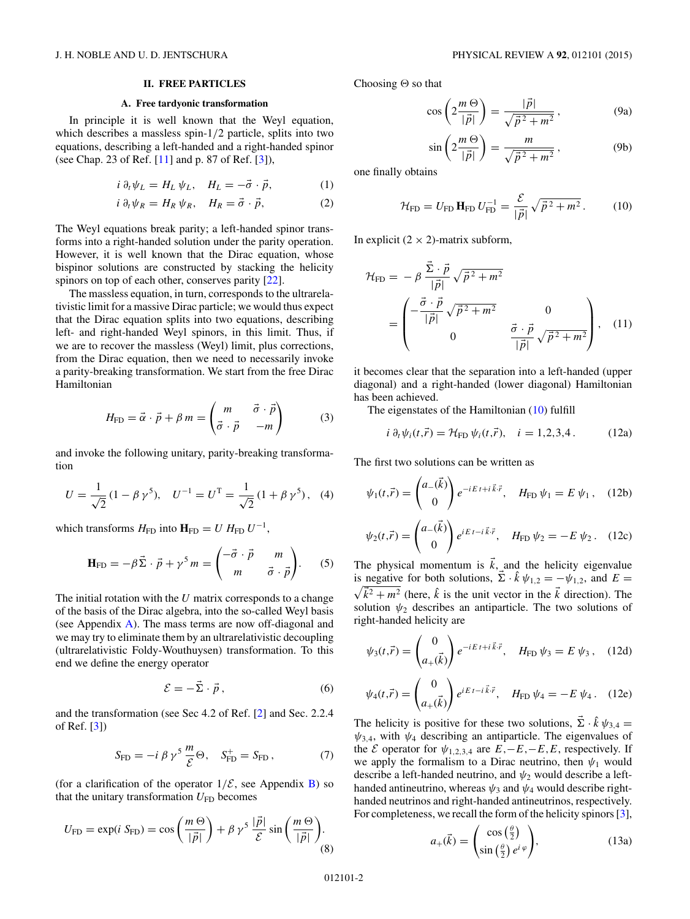# **II. FREE PARTICLES**

#### **A. Free tardyonic transformation**

<span id="page-2-0"></span>In principle it is well known that the Weyl equation, which describes a massless spin-1*/*2 particle, splits into two equations, describing a left-handed and a right-handed spinor (see Chap. 23 of Ref. [\[11\]](#page-9-0) and p. 87 of Ref. [\[3\]](#page-9-0)),

$$
i \partial_t \psi_L = H_L \psi_L, \quad H_L = -\vec{\sigma} \cdot \vec{p}, \tag{1}
$$

$$
i \partial_t \psi_R = H_R \psi_R, \quad H_R = \vec{\sigma} \cdot \vec{p}, \tag{2}
$$

The Weyl equations break parity; a left-handed spinor transforms into a right-handed solution under the parity operation. However, it is well known that the Dirac equation, whose bispinor solutions are constructed by stacking the helicity spinors on top of each other, conserves parity [\[22\]](#page-9-0).

The massless equation, in turn, corresponds to the ultrarelativistic limit for a massive Dirac particle; we would thus expect that the Dirac equation splits into two equations, describing left- and right-handed Weyl spinors, in this limit. Thus, if we are to recover the massless (Weyl) limit, plus corrections, from the Dirac equation, then we need to necessarily invoke a parity-breaking transformation. We start from the free Dirac Hamiltonian

$$
H_{\rm FD} = \vec{\alpha} \cdot \vec{p} + \beta m = \begin{pmatrix} m & \vec{\sigma} \cdot \vec{p} \\ \vec{\sigma} \cdot \vec{p} & -m \end{pmatrix}
$$
 (3)

and invoke the following unitary, parity-breaking transformation

$$
U = \frac{1}{\sqrt{2}} (1 - \beta \gamma^5), \quad U^{-1} = U^{T} = \frac{1}{\sqrt{2}} (1 + \beta \gamma^5), \quad (4)
$$

which transforms  $H_{\text{FD}}$  into  $\mathbf{H}_{\text{FD}} = U H_{\text{FD}} U^{-1}$ ,

$$
\mathbf{H}_{\mathrm{FD}} = -\beta \vec{\Sigma} \cdot \vec{p} + \gamma^5 m = \begin{pmatrix} -\vec{\sigma} \cdot \vec{p} & m \\ m & \vec{\sigma} \cdot \vec{p} \end{pmatrix} . \tag{5}
$$

The initial rotation with the *U* matrix corresponds to a change of the basis of the Dirac algebra, into the so-called Weyl basis (see Appendix [A\)](#page-6-0). The mass terms are now off-diagonal and we may try to eliminate them by an ultrarelativistic decoupling (ultrarelativistic Foldy-Wouthuysen) transformation. To this end we define the energy operator

$$
\mathcal{E} = -\vec{\Sigma} \cdot \vec{p},\qquad(6)
$$

and the transformation (see Sec 4.2 of Ref. [\[2\]](#page-9-0) and Sec. 2.2.4 of Ref. [\[3\]](#page-9-0))

$$
S_{\rm FD} = -i \beta \gamma^5 \frac{m}{\mathcal{E}} \Theta, \quad S_{\rm FD}^+ = S_{\rm FD}, \tag{7}
$$

(for a clarification of the operator  $1/\mathcal{E}$ , see Appendix [B\)](#page-6-0) so that the unitary transformation  $U_{FD}$  becomes

$$
U_{\rm FD} = \exp(i \ S_{\rm FD}) = \cos\left(\frac{m \Theta}{|\vec{p}|}\right) + \beta \ \gamma^5 \ \frac{|\vec{p}|}{\mathcal{E}} \sin\left(\frac{m \Theta}{|\vec{p}|}\right). \tag{8}
$$

Choosing  $\Theta$  so that

$$
\cos\left(2\frac{m\,\Theta}{|\vec{p}|}\right) = \frac{|\vec{p}|}{\sqrt{\vec{p}^2 + m^2}},\tag{9a}
$$

$$
\sin\left(2\frac{m\,\Theta}{|\vec{p}|}\right) = \frac{m}{\sqrt{\vec{p}^2 + m^2}}\,,\tag{9b}
$$

one finally obtains

$$
\mathcal{H}_{\rm FD} = U_{\rm FD} \, \mathbf{H}_{\rm FD} \, U_{\rm FD}^{-1} = \frac{\mathcal{E}}{|\vec{p}|} \sqrt{\vec{p}^2 + m^2} \,. \tag{10}
$$

In explicit  $(2 \times 2)$ -matrix subform,

$$
\mathcal{H}_{\text{FD}} = -\beta \frac{\vec{\Sigma} \cdot \vec{p}}{|\vec{p}|} \sqrt{\vec{p}^2 + m^2}
$$
  
= 
$$
\begin{pmatrix} -\frac{\vec{\sigma} \cdot \vec{p}}{|\vec{p}|} \sqrt{\vec{p}^2 + m^2} & 0 \\ 0 & \frac{\vec{\sigma} \cdot \vec{p}}{|\vec{p}|} \sqrt{\vec{p}^2 + m^2} \end{pmatrix}, \quad (11)
$$

it becomes clear that the separation into a left-handed (upper diagonal) and a right-handed (lower diagonal) Hamiltonian has been achieved.

The eigenstates of the Hamiltonian (10) fulfill

$$
i \partial_t \psi_i(t, \vec{r}) = \mathcal{H}_{FD} \psi_i(t, \vec{r}), \quad i = 1, 2, 3, 4. \tag{12a}
$$

The first two solutions can be written as

$$
\psi_1(t,\vec{r}) = \begin{pmatrix} a_{-}(\vec{k}) \\ 0 \end{pmatrix} e^{-iE t + i\vec{k}\cdot\vec{r}}, \quad H_{\text{FD}} \psi_1 = E \psi_1, \quad (12b)
$$

$$
\psi_2(t,\vec{r}) = \begin{pmatrix} a_{-}(\vec{k}) \\ 0 \end{pmatrix} e^{iE t - i\vec{k}\cdot\vec{r}}, \quad H_{\text{FD}} \psi_2 = -E \psi_2. \quad (12c)
$$

The physical momentum is  $\vec{k}$ , and the helicity eigenvalue is negative for both solutions,  $\vec{\Sigma} \cdot \hat{k} \psi_{1,2} = -\psi_{1,2}$ , and  $E =$  $\sqrt{\vec{k}^2 + m^2}$  (here,  $\hat{k}$  is the unit vector in the  $\vec{k}$  direction). The solution  $\psi_2$  describes an antiparticle. The two solutions of right-handed helicity are

$$
\psi_3(t,\vec{r}) = \begin{pmatrix} 0 \\ a_+(\vec{k}) \end{pmatrix} e^{-iE\,t + i\,\vec{k}\cdot\vec{r}}, \quad H_{\text{FD}}\,\psi_3 = E\,\psi_3 \,, \quad (12d)
$$

$$
\psi_4(t,\vec{r}) = \begin{pmatrix} 0 \\ a_+(\vec{k}) \end{pmatrix} e^{iE\,t - i\,\vec{k}\cdot\vec{r}}, \quad H_{\text{FD}}\,\psi_4 = -E\,\psi_4. \quad (12e)
$$

The helicity is positive for these two solutions,  $\vec{\Sigma} \cdot \hat{k} \psi_{3,4} =$  $\psi_{3,4}$ , with  $\psi_4$  describing an antiparticle. The eigenvalues of the *E* operator for  $\psi_{1,2,3,4}$  are  $E, -E, -E, E$ , respectively. If we apply the formalism to a Dirac neutrino, then  $\psi_1$  would describe a left-handed neutrino, and  $\psi_2$  would describe a lefthanded antineutrino, whereas  $\psi_3$  and  $\psi_4$  would describe righthanded neutrinos and right-handed antineutrinos, respectively. For completeness, we recall the form of the helicity spinors [\[3\]](#page-9-0),

$$
a_{+}(\vec{k}) = \begin{pmatrix} \cos\left(\frac{\theta}{2}\right) \\ \sin\left(\frac{\theta}{2}\right)e^{i\varphi} \end{pmatrix},\tag{13a}
$$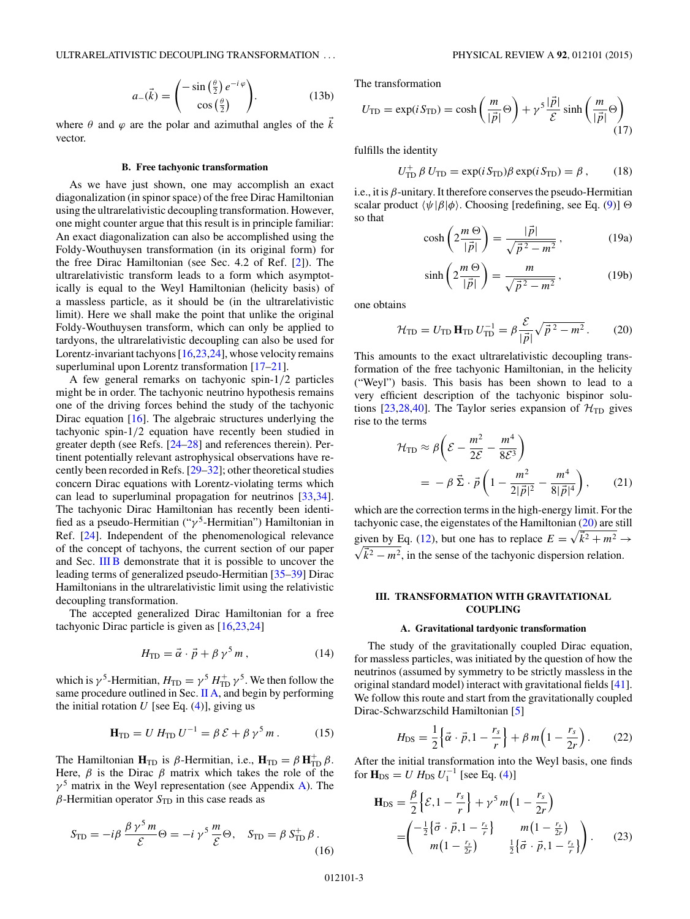$$
a_{-}(\vec{k}) = \begin{pmatrix} -\sin\left(\frac{\theta}{2}\right)e^{-i\varphi} \\ \cos\left(\frac{\theta}{2}\right) \end{pmatrix}.
$$
 (13b)

<span id="page-3-0"></span>where  $\theta$  and  $\varphi$  are the polar and azimuthal angles of the  $\vec{k}$ vector.

#### **B. Free tachyonic transformation**

As we have just shown, one may accomplish an exact diagonalization (in spinor space) of the free Dirac Hamiltonian using the ultrarelativistic decoupling transformation. However, one might counter argue that this result is in principle familiar: An exact diagonalization can also be accomplished using the Foldy-Wouthuysen transformation (in its original form) for the free Dirac Hamiltonian (see Sec. 4.2 of Ref. [\[2\]](#page-9-0)). The ultrarelativistic transform leads to a form which asymptotically is equal to the Weyl Hamiltonian (helicity basis) of a massless particle, as it should be (in the ultrarelativistic limit). Here we shall make the point that unlike the original Foldy-Wouthuysen transform, which can only be applied to tardyons, the ultrarelativistic decoupling can also be used for Lorentz-invariant tachyons [\[16,23,24\]](#page-9-0), whose velocity remains superluminal upon Lorentz transformation [\[17–21\]](#page-9-0).

A few general remarks on tachyonic spin-1*/*2 particles might be in order. The tachyonic neutrino hypothesis remains one of the driving forces behind the study of the tachyonic Dirac equation [\[16\]](#page-9-0). The algebraic structures underlying the tachyonic spin-1*/*2 equation have recently been studied in greater depth (see Refs. [\[24–28\]](#page-9-0) and references therein). Pertinent potentially relevant astrophysical observations have recently been recorded in Refs. [\[29–32\]](#page-9-0); other theoretical studies concern Dirac equations with Lorentz-violating terms which can lead to superluminal propagation for neutrinos [\[33,34\]](#page-9-0). The tachyonic Dirac Hamiltonian has recently been identified as a pseudo-Hermitian ("γ<sup>5</sup>-Hermitian") Hamiltonian in Ref. [\[24\]](#page-9-0). Independent of the phenomenological relevance of the concept of tachyons, the current section of our paper and Sec. [III B](#page-5-0) demonstrate that it is possible to uncover the leading terms of generalized pseudo-Hermitian [\[35–39\]](#page-9-0) Dirac Hamiltonians in the ultrarelativistic limit using the relativistic decoupling transformation.

The accepted generalized Dirac Hamiltonian for a free tachyonic Dirac particle is given as [\[16,23,24\]](#page-9-0)

$$
H_{\rm TD} = \vec{\alpha} \cdot \vec{p} + \beta \gamma^5 m \,, \tag{14}
$$

which is  $\gamma^5$ -Hermitian,  $H_{\text{TD}} = \gamma^5 H_{\text{TD}}^+ \gamma^5$ . We then follow the same procedure outlined in Sec. [II A,](#page-2-0) and begin by performing the initial rotation  $U$  [see Eq.  $(4)$ ], giving us

$$
\mathbf{H}_{\rm TD} = U H_{\rm TD} U^{-1} = \beta \mathcal{E} + \beta \gamma^5 m \,. \tag{15}
$$

The Hamiltonian  $\mathbf{H}_{\text{TD}}$  is  $\beta$ -Hermitian, i.e.,  $\mathbf{H}_{\text{TD}} = \beta \mathbf{H}_{\text{TD}}^+ \beta$ . Here,  $\beta$  is the Dirac  $\beta$  matrix which takes the role of the  $\gamma^5$  matrix in the Weyl representation (see Appendix [A\)](#page-6-0). The  $\beta$ -Hermitian operator  $S_{\text{TD}}$  in this case reads as

$$
S_{\rm TD} = -i\beta \frac{\beta \gamma^5 m}{\mathcal{E}} \Theta = -i\gamma^5 \frac{m}{\mathcal{E}} \Theta, \quad S_{\rm TD} = \beta S_{\rm TD}^+ \beta.
$$
\n(16)

The transformation

$$
U_{\rm TD} = \exp(i S_{\rm TD}) = \cosh\left(\frac{m}{|\vec{p}|}\Theta\right) + \gamma^5 \frac{|\vec{p}|}{\mathcal{E}} \sinh\left(\frac{m}{|\vec{p}|}\Theta\right)
$$
(17)

fulfills the identity

$$
U_{\rm TD}^+ \beta U_{\rm TD} = \exp(i S_{\rm TD}) \beta \exp(i S_{\rm TD}) = \beta \,, \qquad (18)
$$

i.e., it is  $\beta$ -unitary. It therefore conserves the pseudo-Hermitian scalar product *ψ*|*β*|*φ*. Choosing [redefining, see Eq. [\(9\)](#page-2-0)]  so that

$$
\cosh\left(2\frac{m\,\Theta}{|\vec{p}|}\right) = \frac{|\vec{p}|}{\sqrt{\vec{p}^2 - m^2}},\qquad(19a)
$$

$$
\sinh\left(2\frac{m\,\Theta}{|\vec{p}|}\right) = \frac{m}{\sqrt{\vec{p}^2 - m^2}}\,,\tag{19b}
$$

one obtains

$$
\mathcal{H}_{\rm TD} = U_{\rm TD} \mathbf{H}_{\rm TD} U_{\rm TD}^{-1} = \beta \frac{\mathcal{E}}{|\vec{p}|} \sqrt{\vec{p}^2 - m^2} \,. \tag{20}
$$

This amounts to the exact ultrarelativistic decoupling transformation of the free tachyonic Hamiltonian, in the helicity ("Weyl") basis. This basis has been shown to lead to a very efficient description of the tachyonic bispinor solu-tions [\[23,28,40\]](#page-9-0). The Taylor series expansion of  $\mathcal{H}_{\text{TD}}$  gives rise to the terms

$$
\mathcal{H}_{\text{TD}} \approx \beta \left( \mathcal{E} - \frac{m^2}{2\mathcal{E}} - \frac{m^4}{8\mathcal{E}^3} \right)
$$
  
= 
$$
- \beta \vec{\Sigma} \cdot \vec{p} \left( 1 - \frac{m^2}{2|\vec{p}|^2} - \frac{m^4}{8|\vec{p}|^4} \right), \qquad (21)
$$

which are the correction terms in the high-energy limit. For the tachyonic case, the eigenstates of the Hamiltonian (20) are still given by Eq. [\(12\)](#page-2-0), but one has to replace  $E = \sqrt{k^2 + m^2} \rightarrow$  $\sqrt{\vec{k}^2 - m^2}$ , in the sense of the tachyonic dispersion relation.

# **III. TRANSFORMATION WITH GRAVITATIONAL COUPLING**

#### **A. Gravitational tardyonic transformation**

The study of the gravitationally coupled Dirac equation, for massless particles, was initiated by the question of how the neutrinos (assumed by symmetry to be strictly massless in the original standard model) interact with gravitational fields [\[41\]](#page-9-0). We follow this route and start from the gravitationally coupled Dirac-Schwarzschild Hamiltonian [\[5\]](#page-9-0)

$$
H_{\rm DS} = \frac{1}{2} \left\{ \vec{\alpha} \cdot \vec{p}, 1 - \frac{r_s}{r} \right\} + \beta m \left( 1 - \frac{r_s}{2r} \right). \tag{22}
$$

After the initial transformation into the Weyl basis, one finds for  $H_{DS} = U H_{DS} U_1^{-1}$  [see Eq. [\(4\)](#page-2-0)]

$$
\mathbf{H}_{\text{DS}} = \frac{\beta}{2} \left\{ \mathcal{E}, 1 - \frac{r_s}{r} \right\} + \gamma^5 m \left( 1 - \frac{r_s}{2r} \right)
$$

$$
= \begin{pmatrix} -\frac{1}{2} \left\{ \vec{\sigma} \cdot \vec{p}, 1 - \frac{r_s}{r} \right\} & m \left( 1 - \frac{r_s}{2r} \right) \\ m \left( 1 - \frac{r_s}{2r} \right) & \frac{1}{2} \left\{ \vec{\sigma} \cdot \vec{p}, 1 - \frac{r_s}{r} \right\} \end{pmatrix} . \tag{23}
$$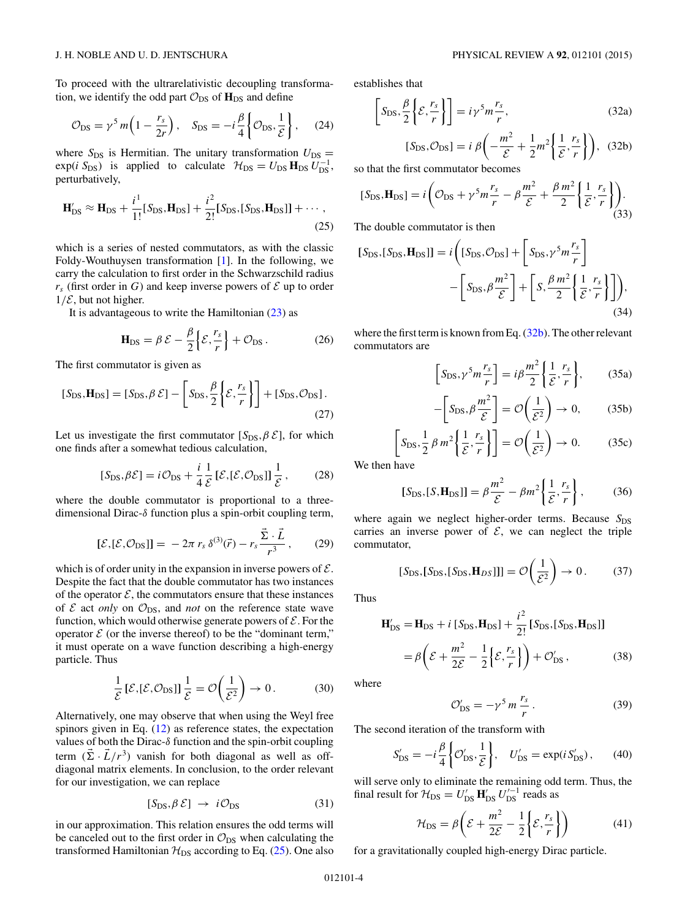<span id="page-4-0"></span>To proceed with the ultrarelativistic decoupling transformation, we identify the odd part  $\mathcal{O}_{DS}$  of  $\mathbf{H}_{DS}$  and define

$$
\mathcal{O}_{\rm DS} = \gamma^5 m \left( 1 - \frac{r_s}{2r} \right), \quad \mathcal{S}_{\rm DS} = -i \frac{\beta}{4} \left\{ \mathcal{O}_{\rm DS}, \frac{1}{\mathcal{E}} \right\}, \tag{24}
$$

where  $S_{DS}$  is Hermitian. The unitary transformation  $U_{DS}$  =  $\exp(i S_{DS})$  is applied to calculate  $H_{DS} = U_{DS} H_{DS} U_{DS}^{-1}$ , perturbatively,

$$
\mathbf{H}'_{\text{DS}} \approx \mathbf{H}_{\text{DS}} + \frac{i^1}{1!} [S_{\text{DS}}, \mathbf{H}_{\text{DS}}] + \frac{i^2}{2!} [S_{\text{DS}}, [S_{\text{DS}}, \mathbf{H}_{\text{DS}}]] + \cdots, \tag{25}
$$

which is a series of nested commutators, as with the classic Foldy-Wouthuysen transformation [\[1\]](#page-9-0). In the following, we carry the calculation to first order in the Schwarzschild radius  $r<sub>s</sub>$  (first order in *G*) and keep inverse powers of  $\mathcal E$  up to order  $1/\mathcal{E}$ , but not higher.

It is advantageous to write the Hamiltonian  $(23)$  as

$$
\mathbf{H}_{\mathrm{DS}} = \beta \mathcal{E} - \frac{\beta}{2} \left\{ \mathcal{E}, \frac{r_s}{r} \right\} + \mathcal{O}_{\mathrm{DS}}. \tag{26}
$$

The first commutator is given as

$$
[S_{\text{DS}}, \mathbf{H}_{\text{DS}}] = [S_{\text{DS}}, \beta \mathcal{E}] - \left[S_{\text{DS}}, \frac{\beta}{2} \left\{ \mathcal{E}, \frac{r_s}{r} \right\} \right] + [S_{\text{DS}}, \mathcal{O}_{\text{DS}}].
$$
\n(27)

Let us investigate the first commutator  $[S_{DS}, \beta \mathcal{E}]$ , for which one finds after a somewhat tedious calculation,

$$
[S_{\rm DS}, \beta \mathcal{E}] = i\mathcal{O}_{\rm DS} + \frac{i}{4} \frac{1}{\mathcal{E}} [\mathcal{E}, [\mathcal{E}, \mathcal{O}_{\rm DS}]] \frac{1}{\mathcal{E}},\qquad(28)
$$

where the double commutator is proportional to a threedimensional Dirac-*δ* function plus a spin-orbit coupling term,

$$
[\mathcal{E}, [\mathcal{E}, \mathcal{O}_{DS}]] = -2\pi r_s \,\delta^{(3)}(\vec{r}) - r_s \frac{\vec{\Sigma} \cdot \vec{L}}{r^3},\qquad(29)
$$

which is of order unity in the expansion in inverse powers of  $\mathcal{E}$ . Despite the fact that the double commutator has two instances of the operator  $\mathcal{E}$ , the commutators ensure that these instances of  $\mathcal E$  act *only* on  $\mathcal O_{\text{DS}}$ , and *not* on the reference state wave function, which would otherwise generate powers of  $\mathcal{E}$ . For the operator  $\mathcal E$  (or the inverse thereof) to be the "dominant term," it must operate on a wave function describing a high-energy particle. Thus

$$
\frac{1}{\mathcal{E}}\left[\mathcal{E},\left[\mathcal{E},\mathcal{O}_{\mathrm{DS}}\right]\right]\frac{1}{\mathcal{E}}=\mathcal{O}\left(\frac{1}{\mathcal{E}^2}\right)\to 0.\tag{30}
$$

Alternatively, one may observe that when using the Weyl free spinors given in Eq. [\(12\)](#page-2-0) as reference states, the expectation values of both the Dirac-*δ* function and the spin-orbit coupling term  $(\vec{\Sigma} \cdot \vec{L}/r^3)$  vanish for both diagonal as well as offdiagonal matrix elements. In conclusion, to the order relevant for our investigation, we can replace

$$
[S_{\rm DS}, \beta \mathcal{E}] \to i\mathcal{O}_{\rm DS} \tag{31}
$$

in our approximation. This relation ensures the odd terms will be canceled out to the first order in  $\mathcal{O}_{DS}$  when calculating the transformed Hamiltonian  $H_{DS}$  according to Eq. (25). One also

establishes that

$$
\[S_{\rm DS}, \frac{\beta}{2} \left\{ \mathcal{E}, \frac{r_s}{r} \right\} \] = i \gamma^5 m \frac{r_s}{r},\tag{32a}
$$

$$
[S_{\text{DS}}, \mathcal{O}_{\text{DS}}] = i \beta \left( -\frac{m^2}{\mathcal{E}} + \frac{1}{2} m^2 \left\{ \frac{1}{\mathcal{E}}, \frac{r_s}{r} \right\} \right), \quad (32b)
$$

so that the first commutator becomes

$$
[S_{\text{DS}}, \mathbf{H}_{\text{DS}}] = i \left( \mathcal{O}_{\text{DS}} + \gamma^5 m \frac{r_s}{r} - \beta \frac{m^2}{\mathcal{E}} + \frac{\beta m^2}{2} \left\{ \frac{1}{\mathcal{E}}, \frac{r_s}{r} \right\} \right). \tag{33}
$$

The double commutator is then

$$
[S_{\text{DS}}, [S_{\text{DS}}, \mathbf{H}_{\text{DS}}]] = i \left( [S_{\text{DS}}, \mathcal{O}_{\text{DS}}] + \left[ S_{\text{DS}}, \gamma^5 m \frac{r_s}{r} \right] - \left[ S_{\text{DS}}, \beta \frac{m^2}{\mathcal{E}} \right] + \left[ S, \frac{\beta m^2}{2} \left\{ \frac{1}{\mathcal{E}}, \frac{r_s}{r} \right\} \right] \right), \tag{34}
$$

where the first term is known from Eq. (32b). The other relevant commutators are

$$
\[S_{\text{DS}}, \gamma^5 m \frac{r_s}{r}\] = i\beta \frac{m^2}{2} \left\{ \frac{1}{\mathcal{E}}, \frac{r_s}{r} \right\},\qquad(35a)
$$

$$
-\left[S_{\text{DS}}, \beta \frac{m^2}{\mathcal{E}}\right] = \mathcal{O}\left(\frac{1}{\mathcal{E}^2}\right) \to 0, \quad (35b)
$$

$$
\left[S_{\text{DS}}, \frac{1}{2} \beta m^2 \left\{ \frac{1}{\mathcal{E}}, \frac{r_s}{r} \right\} \right] = \mathcal{O}\left(\frac{1}{\mathcal{E}^2}\right) \to 0. \tag{35c}
$$

We then have

$$
[S_{\text{DS}},[S,\mathbf{H}_{\text{DS}}]] = \beta \frac{m^2}{\mathcal{E}} - \beta m^2 \left\{ \frac{1}{\mathcal{E}}, \frac{r_s}{r} \right\},\tag{36}
$$

where again we neglect higher-order terms. Because S<sub>DS</sub> carries an inverse power of  $\mathcal{E}$ , we can neglect the triple commutator,

$$
[S_{\text{DS}}, [S_{\text{DS}}, [S_{\text{DS}}, \mathbf{H}_{DS}]]] = \mathcal{O}\left(\frac{1}{\mathcal{E}^2}\right) \to 0. \tag{37}
$$

Thus

$$
\mathbf{H}_{\rm DS}^{\prime} = \mathbf{H}_{\rm DS} + i \left[ S_{\rm DS}, \mathbf{H}_{\rm DS} \right] + \frac{i^2}{2!} \left[ S_{\rm DS}, \left[ S_{\rm DS}, \mathbf{H}_{\rm DS} \right] \right] \n= \beta \left( \mathcal{E} + \frac{m^2}{2\mathcal{E}} - \frac{1}{2} \left\{ \mathcal{E}, \frac{r_s}{r} \right\} \right) + \mathcal{O}_{\rm DS}^{\prime},
$$
\n(38)

where

$$
\mathcal{O}'_{\text{DS}} = -\gamma^5 m \frac{r_s}{r} \,. \tag{39}
$$

The second iteration of the transform with

$$
S'_{\text{DS}} = -i\frac{\beta}{4} \left\{ \mathcal{O}'_{\text{DS}}, \frac{1}{\mathcal{E}} \right\}, \quad U'_{\text{DS}} = \exp(iS'_{\text{DS}}), \tag{40}
$$

will serve only to eliminate the remaining odd term. Thus, the final result for  $\mathcal{H}_{DS} = U'_{DS} \mathbf{H}'_{DS} U'^{-1}_{DS}$  reads as

$$
\mathcal{H}_{\text{DS}} = \beta \left( \mathcal{E} + \frac{m^2}{2\mathcal{E}} - \frac{1}{2} \left\{ \mathcal{E}, \frac{r_s}{r} \right\} \right) \tag{41}
$$

for a gravitationally coupled high-energy Dirac particle.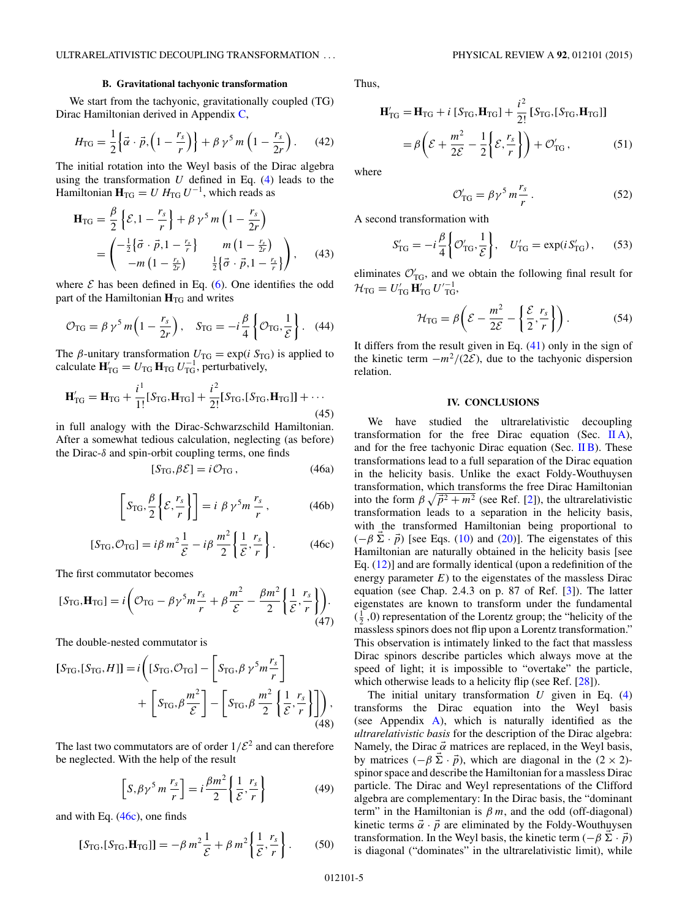#### **B. Gravitational tachyonic transformation**

<span id="page-5-0"></span>We start from the tachyonic, gravitationally coupled (TG) Dirac Hamiltonian derived in Appendix [C,](#page-7-0)

$$
H_{\rm TG} = \frac{1}{2} \left\{ \vec{\alpha} \cdot \vec{p}, \left( 1 - \frac{r_s}{r} \right) \right\} + \beta \gamma^5 m \left( 1 - \frac{r_s}{2r} \right). \tag{42}
$$

The initial rotation into the Weyl basis of the Dirac algebra using the transformation *U* defined in Eq. [\(4\)](#page-2-0) leads to the Hamiltonian  $\mathbf{H}_{TG} = U H_{TG} U^{-1}$ , which reads as

$$
\mathbf{H}_{\text{TG}} = \frac{\beta}{2} \left\{ \mathcal{E}, 1 - \frac{r_s}{r} \right\} + \beta \gamma^5 m \left( 1 - \frac{r_s}{2r} \right)
$$
  
= 
$$
\begin{pmatrix} -\frac{1}{2} \left\{ \vec{\sigma} \cdot \vec{p}, 1 - \frac{r_s}{r} \right\} & m \left( 1 - \frac{r_s}{2r} \right) \\ -m \left( 1 - \frac{r_s}{2r} \right) & \frac{1}{2} \left\{ \vec{\sigma} \cdot \vec{p}, 1 - \frac{r_s}{r} \right\} \end{pmatrix}, \qquad (43)
$$

where  $\mathcal E$  has been defined in Eq. [\(6\)](#page-2-0). One identifies the odd part of the Hamiltonian  $H_{TG}$  and writes

$$
\mathcal{O}_{\text{TG}} = \beta \,\gamma^5 \, m \left( 1 - \frac{r_s}{2r} \right), \quad S_{\text{TG}} = -i \frac{\beta}{4} \left\{ \mathcal{O}_{\text{TG}}, \frac{1}{\mathcal{E}} \right\}. \tag{44}
$$

The  $\beta$ -unitary transformation  $U_{\text{TG}} = \exp(i S_{\text{TG}})$  is applied to calculate  $\mathbf{H}_{\text{TG}}' = U_{\text{TG}} \, \mathbf{H}_{\text{TG}} \, U_{\text{TG}}^{-1}$ , perturbatively,

$$
\mathbf{H}'_{\text{TG}} = \mathbf{H}_{\text{TG}} + \frac{i^1}{1!} [S_{\text{TG}}, \mathbf{H}_{\text{TG}}] + \frac{i^2}{2!} [S_{\text{TG}}, [S_{\text{TG}}, \mathbf{H}_{\text{TG}}]] + \cdots
$$
\n(45)

in full analogy with the Dirac-Schwarzschild Hamiltonian. After a somewhat tedious calculation, neglecting (as before) the Dirac-*δ* and spin-orbit coupling terms, one finds

$$
[S_{\text{TG}}, \beta \mathcal{E}] = i \mathcal{O}_{\text{TG}} , \qquad (46a)
$$

$$
\[ S_{\text{TG}}, \frac{\beta}{2} \left\{ \mathcal{E}, \frac{r_s}{r} \right\} \] = i \; \beta \; \gamma^5 m \, \frac{r_s}{r} \,, \tag{46b}
$$

$$
[S_{\text{TG}}, \mathcal{O}_{\text{TG}}] = i\beta m^2 \frac{1}{\mathcal{E}} - i\beta \frac{m^2}{2} \left\{ \frac{1}{\mathcal{E}}, \frac{r_s}{r} \right\}.
$$
 (46c)

The first commutator becomes

$$
[S_{\text{TG}}, \mathbf{H}_{\text{TG}}] = i \bigg( \mathcal{O}_{\text{TG}} - \beta \gamma^5 m \frac{r_s}{r} + \beta \frac{m^2}{\mathcal{E}} - \frac{\beta m^2}{2} \bigg\{ \frac{1}{\mathcal{E}}, \frac{r_s}{r} \bigg\} \bigg). \tag{47}
$$

The double-nested commutator is

$$
[S_{\text{TG}},[S_{\text{TG}},H]] = i \left( [S_{\text{TG}},\mathcal{O}_{\text{TG}}] - \left[ S_{\text{TG}}, \beta \gamma^5 m \frac{r_s}{r} \right] + \left[ S_{\text{TG}}, \beta \frac{m^2}{\mathcal{E}} \right] - \left[ S_{\text{TG}}, \beta \frac{m^2}{2} \left\{ \frac{1}{\mathcal{E}}, \frac{r_s}{r} \right\} \right] \right),
$$
\n(48)

The last two commutators are of order  $1/\mathcal{E}^2$  and can therefore be neglected. With the help of the result

$$
\[S, \beta \gamma^5 m \frac{r_s}{r}\] = i \frac{\beta m^2}{2} \left\{ \frac{1}{\mathcal{E}}, \frac{r_s}{r} \right\} \tag{49}
$$

and with Eq.  $(46c)$ , one finds

$$
[S_{\text{TG}},[S_{\text{TG}},\mathbf{H}_{\text{TG}}]] = -\beta m^2 \frac{1}{\mathcal{E}} + \beta m^2 \left\{ \frac{1}{\mathcal{E}}, \frac{r_s}{r} \right\}.
$$
 (50)

Thus,

$$
\mathbf{H}'_{\text{TG}} = \mathbf{H}_{\text{TG}} + i \left[ S_{\text{TG}}, \mathbf{H}_{\text{TG}} \right] + \frac{i^2}{2!} \left[ S_{\text{TG}}, \left[ S_{\text{TG}}, \mathbf{H}_{\text{TG}} \right] \right]
$$
\n
$$
= \beta \left( \mathcal{E} + \frac{m^2}{2\mathcal{E}} - \frac{1}{2} \left\{ \mathcal{E}, \frac{r_s}{r} \right\} \right) + \mathcal{O}'_{\text{TG}} , \tag{51}
$$

where

$$
\mathcal{O}_{\text{TG}}' = \beta \gamma^5 m \frac{r_s}{r} \,. \tag{52}
$$

A second transformation with

$$
S'_{\text{TG}} = -i\frac{\beta}{4} \left\{ \mathcal{O}'_{\text{TG}}, \frac{1}{\mathcal{E}} \right\}, \quad U'_{\text{TG}} = \exp(i S'_{\text{TG}}), \tag{53}
$$

eliminates  $\mathcal{O}_{TG}$ , and we obtain the following final result for  $\mathcal{H}_{\text{TG}} = U'_{\text{TG}} \mathbf{H}'_{\text{TG}} U'^{-1}_{\text{TG}},$ 

$$
\mathcal{H}_{\text{TG}} = \beta \bigg( \mathcal{E} - \frac{m^2}{2\mathcal{E}} - \left\{ \frac{\mathcal{E}}{2}, \frac{r_s}{r} \right\} \bigg). \tag{54}
$$

It differs from the result given in Eq. [\(41\)](#page-4-0) only in the sign of the kinetic term  $-m^2/(2\mathcal{E})$ , due to the tachyonic dispersion relation.

# **IV. CONCLUSIONS**

We have studied the ultrarelativistic decoupling transformation for the free Dirac equation (Sec.  $\mathbf{II}(\mathbf{A})$ ), and for the free tachyonic Dirac equation (Sec.  $\overline{I}$  IB). These transformations lead to a full separation of the Dirac equation in the helicity basis. Unlike the exact Foldy-Wouthuysen transformation, which transforms the free Dirac Hamiltonian into the form  $\beta \sqrt{\vec{p}^2 + m^2}$  (see Ref. [\[2\]](#page-9-0)), the ultrarelativistic transformation leads to a separation in the helicity basis, with the transformed Hamiltonian being proportional to  $(-\beta \vec{\Sigma} \cdot \vec{p})$  [see Eqs. [\(10\)](#page-2-0) and [\(20\)](#page-3-0)]. The eigenstates of this Hamiltonian are naturally obtained in the helicity basis [see Eq. [\(12\)](#page-2-0)] and are formally identical (upon a redefinition of the energy parameter  $E$ ) to the eigenstates of the massless Dirac equation (see Chap. 2.4.3 on p. 87 of Ref. [\[3\]](#page-9-0)). The latter eigenstates are known to transform under the fundamental  $(\frac{1}{2}, 0)$  representation of the Lorentz group; the "helicity of the massless spinors does not flip upon a Lorentz transformation." This observation is intimately linked to the fact that massless Dirac spinors describe particles which always move at the speed of light; it is impossible to "overtake" the particle, which otherwise leads to a helicity flip (see Ref. [\[28\]](#page-9-0)).

The initial unitary transformation *U* given in Eq. [\(4\)](#page-2-0) transforms the Dirac equation into the Weyl basis (see Appendix [A\)](#page-6-0), which is naturally identified as the *ultrarelativistic basis* for the description of the Dirac algebra: Namely, the Dirac  $\vec{\alpha}$  matrices are replaced, in the Weyl basis, by matrices  $(-\beta \vec{\Sigma} \cdot \vec{p})$ , which are diagonal in the  $(2 \times 2)$ spinor space and describe the Hamiltonian for a massless Dirac particle. The Dirac and Weyl representations of the Clifford algebra are complementary: In the Dirac basis, the "dominant term" in the Hamiltonian is  $\beta m$ , and the odd (off-diagonal) kinetic terms  $\vec{\alpha} \cdot \vec{p}$  are eliminated by the Foldy-Wouthuysen transformation. In the Weyl basis, the kinetic term  $(-\beta \vec{\Sigma} \cdot \vec{p})$ is diagonal ("dominates" in the ultrarelativistic limit), while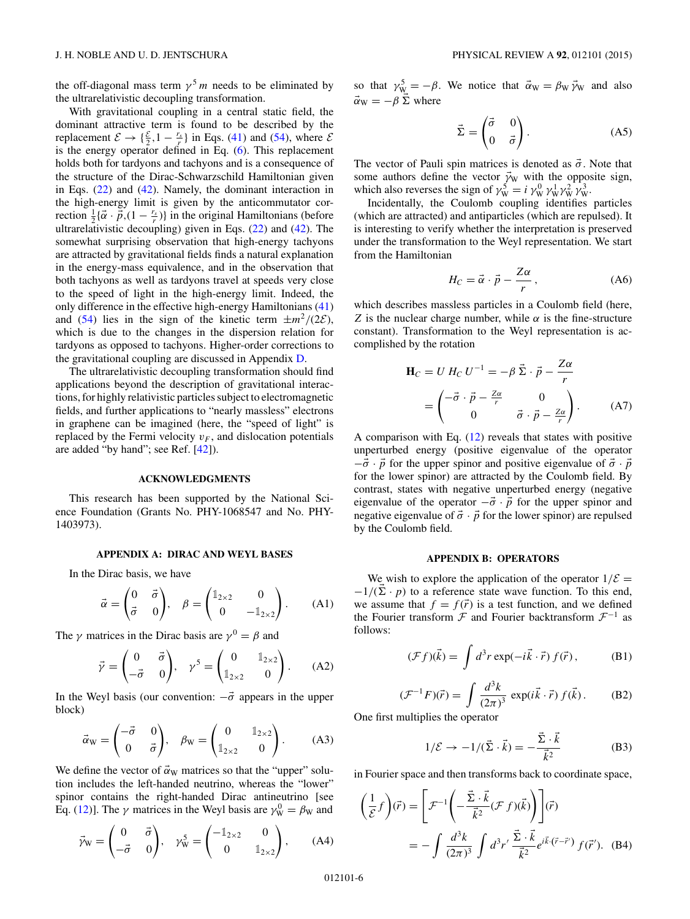<span id="page-6-0"></span>the off-diagonal mass term  $\gamma^5 m$  needs to be eliminated by the ultrarelativistic decoupling transformation.

With gravitational coupling in a central static field, the dominant attractive term is found to be described by the replacement  $\mathcal{E} \to \{\frac{\mathcal{E}}{2}, 1 - \frac{r_s}{r}\}\$  in Eqs. [\(41\)](#page-4-0) and [\(54\)](#page-5-0), where  $\mathcal{E}$ is the energy operator defined in Eq. [\(6\)](#page-2-0). This replacement holds both for tardyons and tachyons and is a consequence of the structure of the Dirac-Schwarzschild Hamiltonian given in Eqs. [\(22\)](#page-3-0) and [\(42\)](#page-5-0). Namely, the dominant interaction in the high-energy limit is given by the anticommutator correction  $\frac{1}{2}$  $\{\vec{\alpha} \cdot \vec{\vec{p}}$ ,  $(1 - \frac{r_s}{r})\}$  in the original Hamiltonians (before ultrarelativistic decoupling) given in Eqs.  $(22)$  and  $(42)$ . The somewhat surprising observation that high-energy tachyons are attracted by gravitational fields finds a natural explanation in the energy-mass equivalence, and in the observation that both tachyons as well as tardyons travel at speeds very close to the speed of light in the high-energy limit. Indeed, the only difference in the effective high-energy Hamiltonians [\(41\)](#page-4-0) and [\(54\)](#page-5-0) lies in the sign of the kinetic term  $\pm m^2/(2\varepsilon)$ , which is due to the changes in the dispersion relation for tardyons as opposed to tachyons. Higher-order corrections to the gravitational coupling are discussed in Appendix [D.](#page-8-0)

The ultrarelativistic decoupling transformation should find applications beyond the description of gravitational interactions, for highly relativistic particles subject to electromagnetic fields, and further applications to "nearly massless" electrons in graphene can be imagined (here, the "speed of light" is replaced by the Fermi velocity  $v_F$ , and dislocation potentials are added "by hand"; see Ref. [\[42\]](#page-9-0)).

# **ACKNOWLEDGMENTS**

This research has been supported by the National Science Foundation (Grants No. PHY-1068547 and No. PHY-1403973).

#### **APPENDIX A: DIRAC AND WEYL BASES**

In the Dirac basis, we have

$$
\vec{\alpha} = \begin{pmatrix} 0 & \vec{\sigma} \\ \vec{\sigma} & 0 \end{pmatrix}, \quad \beta = \begin{pmatrix} \mathbb{1}_{2 \times 2} & 0 \\ 0 & -\mathbb{1}_{2 \times 2} \end{pmatrix}. \tag{A1}
$$

The *γ* matrices in the Dirac basis are  $\gamma^0 = \beta$  and

$$
\vec{\gamma} = \begin{pmatrix} 0 & \vec{\sigma} \\ -\vec{\sigma} & 0 \end{pmatrix}, \quad \gamma^5 = \begin{pmatrix} 0 & \mathbb{1}_{2 \times 2} \\ \mathbb{1}_{2 \times 2} & 0 \end{pmatrix}. \tag{A2}
$$

In the Weyl basis (our convention:  $-\vec{\sigma}$  appears in the upper block)

$$
\vec{\alpha}_{\mathbf{W}} = \begin{pmatrix} -\vec{\sigma} & 0 \\ 0 & \vec{\sigma} \end{pmatrix}, \quad \beta_{\mathbf{W}} = \begin{pmatrix} 0 & \mathbb{1}_{2 \times 2} \\ \mathbb{1}_{2 \times 2} & 0 \end{pmatrix}.
$$
 (A3)

We define the vector of  $\vec{\alpha}_W$  matrices so that the "upper" solution includes the left-handed neutrino, whereas the "lower" spinor contains the right-handed Dirac antineutrino [see Eq. [\(12\)](#page-2-0)]. The *γ* matrices in the Weyl basis are  $\gamma_{\text{W}}^0 = \beta_{\text{W}}$  and

$$
\vec{\gamma}_{\mathbf{W}} = \begin{pmatrix} 0 & \vec{\sigma} \\ -\vec{\sigma} & 0 \end{pmatrix}, \quad \gamma_{\mathbf{W}}^5 = \begin{pmatrix} -\mathbb{1}_{2 \times 2} & 0 \\ 0 & \mathbb{1}_{2 \times 2} \end{pmatrix}, \tag{A4}
$$

so that  $\gamma_{\text{W}}^5 = -\beta$ . We notice that  $\vec{\alpha}_{\text{W}} = \beta_{\text{W}} \vec{\gamma}_{\text{W}}$  and also  $\vec{\alpha}_W = -\beta \vec{\Sigma}$  where

$$
\vec{\Sigma} = \begin{pmatrix} \vec{\sigma} & 0 \\ 0 & \vec{\sigma} \end{pmatrix} . \tag{A5}
$$

The vector of Pauli spin matrices is denoted as  $\vec{\sigma}$ . Note that some authors define the vector  $\vec{\gamma}_W$  with the opposite sign, which also reverses the sign of  $\gamma_{\rm W}^5 = i \gamma_{\rm W}^0 \gamma_{\rm W}^1 \gamma_{\rm W}^2 \gamma_{\rm W}^3$ .

Incidentally, the Coulomb coupling identifies particles (which are attracted) and antiparticles (which are repulsed). It is interesting to verify whether the interpretation is preserved under the transformation to the Weyl representation. We start from the Hamiltonian

$$
H_C = \vec{\alpha} \cdot \vec{p} - \frac{Z\alpha}{r},
$$
 (A6)

which describes massless particles in a Coulomb field (here, *Z* is the nuclear charge number, while  $\alpha$  is the fine-structure constant). Transformation to the Weyl representation is accomplished by the rotation

$$
\mathbf{H}_C = U H_C U^{-1} = -\beta \vec{\Sigma} \cdot \vec{p} - \frac{Z\alpha}{r}
$$

$$
= \begin{pmatrix} -\vec{\sigma} \cdot \vec{p} - \frac{Z\alpha}{r} & 0\\ 0 & \vec{\sigma} \cdot \vec{p} - \frac{Z\alpha}{r} \end{pmatrix} . \tag{A7}
$$

A comparison with Eq. [\(12\)](#page-2-0) reveals that states with positive unperturbed energy (positive eigenvalue of the operator  $-\vec{\sigma} \cdot \vec{p}$  for the upper spinor and positive eigenvalue of  $\vec{\sigma} \cdot \vec{p}$ for the lower spinor) are attracted by the Coulomb field. By contrast, states with negative unperturbed energy (negative eigenvalue of the operator  $-\vec{\sigma} \cdot \vec{p}$  for the upper spinor and negative eigenvalue of  $\vec{\sigma} \cdot \vec{p}$  for the lower spinor) are repulsed by the Coulomb field.

# **APPENDIX B: OPERATORS**

We wish to explore the application of the operator  $1/\mathcal{E} =$  $-1/(\vec{\Sigma} \cdot p)$  to a reference state wave function. To this end, we assume that  $f = f(\vec{r})$  is a test function, and we defined the Fourier transform  $\mathcal F$  and Fourier backtransform  $\mathcal F^{-1}$  as follows:

$$
(\mathcal{F}f)(\vec{k}) = \int d^3r \exp(-i\vec{k}\cdot\vec{r}) f(\vec{r}), \qquad (B1)
$$

$$
(\mathcal{F}^{-1}F)(\vec{r}) = \int \frac{d^3k}{(2\pi)^3} \exp(i\vec{k}\cdot\vec{r}) f(\vec{k}).
$$
 (B2)

One first multiplies the operator

$$
1/\mathcal{E} \to -1/(\vec{\Sigma} \cdot \vec{k}) = -\frac{\vec{\Sigma} \cdot \vec{k}}{\vec{k}^2}
$$
 (B3)

in Fourier space and then transforms back to coordinate space,

$$
\left(\frac{1}{\mathcal{E}}f\right)(\vec{r}) = \left[\mathcal{F}^{-1}\left(-\frac{\vec{\Sigma}\cdot\vec{k}}{\vec{k}^2}(\mathcal{F}f)(\vec{k})\right)\right](\vec{r})
$$

$$
= -\int \frac{d^3k}{(2\pi)^3} \int d^3r' \frac{\vec{\Sigma}\cdot\vec{k}}{\vec{k}^2} e^{i\vec{k}\cdot(\vec{r}-\vec{r}')} f(\vec{r}'). \quad (B4)
$$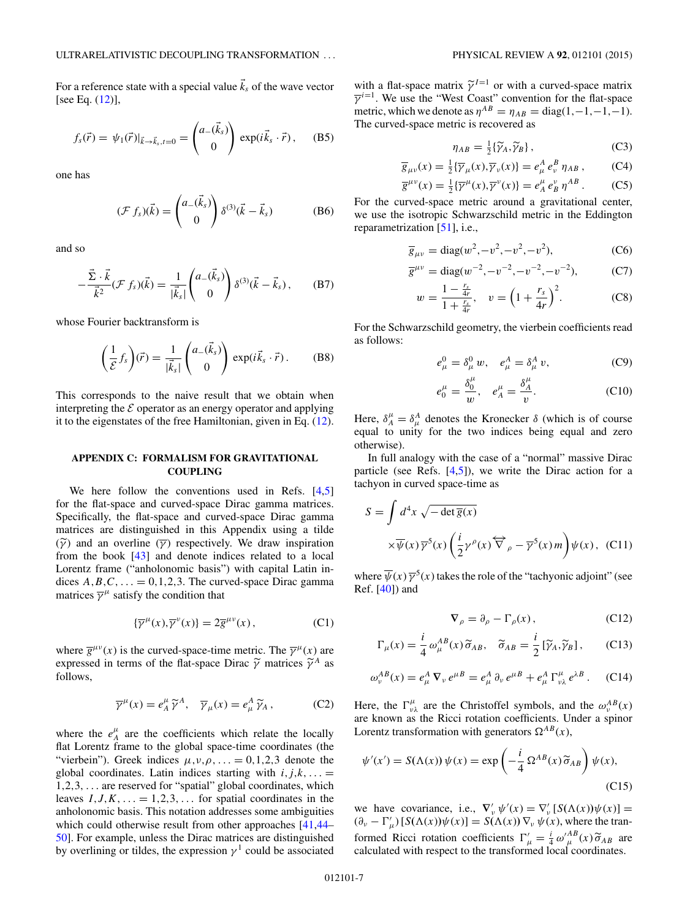<span id="page-7-0"></span>For a reference state with a special value  $\vec{k}_s$  of the wave vector [see Eq. [\(12\)](#page-2-0)],

$$
f_s(\vec{r}) = \psi_1(\vec{r})|_{\vec{k}\to\vec{k}_s,t=0} = \begin{pmatrix} a_-(\vec{k}_s) \\ 0 \end{pmatrix} \exp(i\vec{k}_s \cdot \vec{r}), \quad (B5)
$$

one has

$$
(\mathcal{F} f_s)(\vec{k}) = \begin{pmatrix} a_-(\vec{k}_s) \\ 0 \end{pmatrix} \delta^{(3)}(\vec{k} - \vec{k}_s) \tag{B6}
$$

and so

$$
-\frac{\vec{\Sigma}\cdot\vec{k}}{\vec{k}^2}(\mathcal{F}f_s)(\vec{k}) = \frac{1}{|\vec{k}_s|}\begin{pmatrix} a_-(\vec{k}_s) \\ 0 \end{pmatrix} \delta^{(3)}(\vec{k}-\vec{k}_s), \quad (B7)
$$

whose Fourier backtransform is

$$
\left(\frac{1}{\mathcal{E}}f_s\right)(\vec{r}) = \frac{1}{|\vec{k}_s|} \begin{pmatrix} a_-(\vec{k}_s) \\ 0 \end{pmatrix} \exp(i\vec{k}_s \cdot \vec{r}).
$$
 (B8)

This corresponds to the naive result that we obtain when interpreting the  $\mathcal E$  operator as an energy operator and applying it to the eigenstates of the free Hamiltonian, given in Eq. [\(12\)](#page-2-0).

## **APPENDIX C: FORMALISM FOR GRAVITATIONAL COUPLING**

We here follow the conventions used in Refs. [\[4,5\]](#page-9-0) for the flat-space and curved-space Dirac gamma matrices. Specifically, the flat-space and curved-space Dirac gamma matrices are distinguished in this Appendix using a tilde  $(\widetilde{\gamma})$  and an overline  $(\overline{\gamma})$  respectively. We draw inspiration from the book [\[43\]](#page-9-0) and denote indices related to a local Lorentz frame ("anholonomic basis") with capital Latin indices  $A, B, C, \ldots = 0, 1, 2, 3$ . The curved-space Dirac gamma matrices  $\overline{\gamma}^{\mu}$  satisfy the condition that

$$
\{\overline{\gamma}^{\mu}(x), \overline{\gamma}^{\nu}(x)\} = 2\overline{g}^{\mu\nu}(x) , \qquad (C1)
$$

where  $\overline{g}^{\mu\nu}(x)$  is the curved-space-time metric. The  $\overline{\gamma}^{\mu}(x)$  are expressed in terms of the flat-space Dirac  $\widetilde{\gamma}$  matrices  $\widetilde{\gamma}^A$  as follows,

$$
\overline{\gamma}^{\mu}(x) = e_A^{\mu} \widetilde{\gamma}^A, \quad \overline{\gamma}_{\mu}(x) = e_{\mu}^A \widetilde{\gamma}_A, \quad (C2)
$$

where the  $e^{\mu}_A$  are the coefficients which relate the locally flat Lorentz frame to the global space-time coordinates (the "vierbein"). Greek indices  $\mu, \nu, \rho, \ldots = 0, 1, 2, 3$  denote the global coordinates. Latin indices starting with  $i, j, k, ... =$ 1*,*2*,*3*,...* are reserved for "spatial" global coordinates, which leaves  $I, J, K, \ldots = 1, 2, 3, \ldots$  for spatial coordinates in the anholonomic basis. This notation addresses some ambiguities which could otherwise result from other approaches [\[41,44–](#page-9-0) [50\]](#page-9-0). For example, unless the Dirac matrices are distinguished by overlining or tildes, the expression  $\gamma^1$  could be associated

with a flat-space matrix  $\tilde{\gamma}^{I=1}$  or with a curved-space matrix  $\overline{\gamma}^{i=1}$ . We use the "West Coast" convention for the flat-space metric, which we denote as  $\eta^{AB} = \eta_{AB} = \text{diag}(1, -1, -1, -1)$ . The curved-space metric is recovered as

$$
\eta_{AB} = \frac{1}{2} \{ \widetilde{\gamma}_A, \widetilde{\gamma}_B \},\tag{C3}
$$

$$
\overline{g}_{\mu\nu}(x) = \frac{1}{2} \{ \overline{\gamma}_{\mu}(x), \overline{\gamma}_{\nu}(x) \} = e_{\mu}^{A} e_{\nu}^{B} \eta_{AB}, \qquad (C4)
$$

$$
\overline{g}^{\mu\nu}(x) = \frac{1}{2} \{ \overline{\gamma}^{\mu}(x), \overline{\gamma}^{\nu}(x) \} = e_A^{\mu} e_B^{\nu} \eta^{AB} . \tag{C5}
$$

For the curved-space metric around a gravitational center, we use the isotropic Schwarzschild metric in the Eddington reparametrization [\[51\]](#page-9-0), i.e.,

$$
\overline{g}_{\mu\nu} = \text{diag}(w^2, -v^2, -v^2, -v^2),\tag{C6}
$$

$$
\overline{g}^{\mu\nu} = \text{diag}(w^{-2}, -v^{-2}, -v^{-2}, -v^{-2}),\tag{C7}
$$

$$
w = \frac{1 - \frac{r_s}{4r}}{1 + \frac{r_s}{4r}}, \quad v = \left(1 + \frac{r_s}{4r}\right)^2. \tag{C8}
$$

For the Schwarzschild geometry, the vierbein coefficients read as follows:

$$
e_{\mu}^{0} = \delta_{\mu}^{0} w, \quad e_{\mu}^{A} = \delta_{\mu}^{A} v,
$$
 (C9)

$$
e_0^{\mu} = \frac{\delta_0^{\mu}}{w}, \quad e_A^{\mu} = \frac{\delta_A^{\mu}}{v}.
$$
 (C10)

Here,  $\delta_A^{\mu} = \delta_{\mu}^A$  denotes the Kronecker  $\delta$  (which is of course equal to unity for the two indices being equal and zero otherwise).

In full analogy with the case of a "normal" massive Dirac particle (see Refs.  $[4,5]$ ), we write the Dirac action for a tachyon in curved space-time as

$$
S = \int d^4x \sqrt{-\det \overline{g}(x)}
$$

$$
\times \overline{\psi}(x) \overline{\gamma}^5(x) \left(\frac{i}{2} \gamma^\rho(x) \overleftrightarrow{\nabla}_\rho - \overline{\gamma}^5(x) m\right) \psi(x), \quad \text{(C11)}
$$

where  $\overline{\psi}(x) \overline{\gamma}^5(x)$  takes the role of the "tachyonic adjoint" (see Ref. [\[40\]](#page-9-0)) and

$$
\nabla_{\rho} = \partial_{\rho} - \Gamma_{\rho}(x), \qquad (C12)
$$

$$
\Gamma_{\mu}(x) = \frac{i}{4} \omega_{\mu}^{AB}(x) \widetilde{\sigma}_{AB}, \quad \widetilde{\sigma}_{AB} = \frac{i}{2} [\widetilde{\gamma}_A, \widetilde{\gamma}_B], \qquad \text{(C13)}
$$

$$
\omega_{\nu}^{AB}(x) = e_{\mu}^{A} \, \nabla_{\nu} \, e^{\mu}{}^{B} = e_{\mu}^{A} \, \partial_{\nu} \, e^{\mu}{}^{B} + e_{\mu}^{A} \, \Gamma_{\nu\lambda}^{\mu} \, e^{\lambda B} \,. \tag{C14}
$$

Here, the  $\Gamma^{\mu}_{\nu\lambda}$  are the Christoffel symbols, and the  $\omega^{AB}_{\nu}(x)$ are known as the Ricci rotation coefficients. Under a spinor Lorentz transformation with generators  $\Omega^{AB}(x)$ ,

$$
\psi'(x') = S(\Lambda(x))\,\psi(x) = \exp\left(-\frac{i}{4}\,\Omega^{AB}(x)\,\widetilde{\sigma}_{AB}\right)\psi(x),\tag{C15}
$$

we have covariance, i.e.,  $\nabla'_{\nu} \psi'(x) = \nabla'_{\nu} [S(\Lambda(x))\psi(x)] =$  $(\partial_{\nu} - \Gamma_{\mu}') [S(\Lambda(x))\psi(x)] = S(\Lambda(x)) \nabla_{\nu} \psi(x)$ , where the tranformed Ricci rotation coefficients  $\Gamma_{\mu}^{\prime} = \frac{i}{4} \omega_{\mu}^{AB}(x) \widetilde{\sigma}_{AB}$  are calculated with respect to the transformed local coordinates calculated with respect to the transformed local coordinates.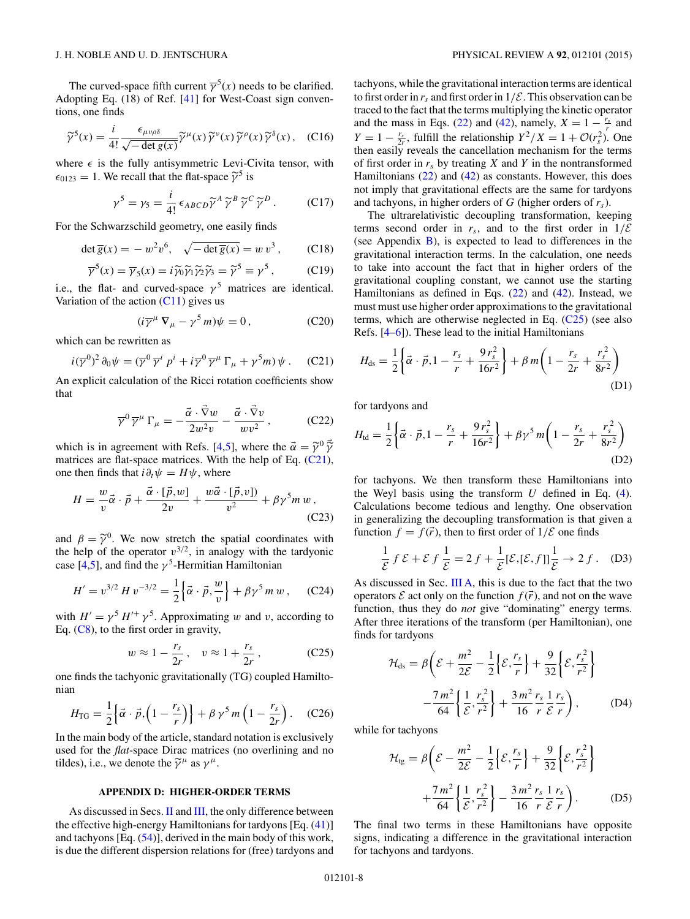<span id="page-8-0"></span>The curved-space fifth current  $\overline{\gamma}^5(x)$  needs to be clarified. Adopting Eq. (18) of Ref. [\[41\]](#page-9-0) for West-Coast sign conventions, one finds

$$
\widetilde{\gamma}^5(x) = \frac{i}{4!} \frac{\epsilon_{\mu\nu\rho\delta}}{\sqrt{-\det g(x)}} \widetilde{\gamma}^\mu(x) \widetilde{\gamma}^\nu(x) \widetilde{\gamma}^\rho(x) \widetilde{\gamma}^\delta(x), \quad \text{(C16)}
$$

where  $\epsilon$  is the fully antisymmetric Levi-Civita tensor, with  $\epsilon_{0123} = 1$ . We recall that the flat-space  $\tilde{\gamma}^5$  is

$$
\gamma^5 = \gamma_5 = \frac{i}{4!} \epsilon_{ABCD} \widetilde{\gamma}^A \widetilde{\gamma}^B \widetilde{\gamma}^C \widetilde{\gamma}^D. \qquad (C17)
$$

For the Schwarzschild geometry, one easily finds

$$
\det \overline{g}(x) = -w^2 v^6, \quad \sqrt{-\det \overline{g}(x)} = w v^3, \quad (C18)
$$

$$
\overline{\gamma}^5(x) = \overline{\gamma}_5(x) = i \widetilde{\gamma}_0 \widetilde{\gamma}_1 \widetilde{\gamma}_2 \widetilde{\gamma}_3 = \widetilde{\gamma}^5 \equiv \gamma^5, \tag{C19}
$$

i.e., the flat- and curved-space  $\gamma^5$  matrices are identical. Variation of the action  $(C11)$  gives us

$$
(i\overline{\gamma}^{\mu} \nabla_{\mu} - \gamma^{5} m)\psi = 0, \qquad (C20)
$$

which can be rewritten as

$$
i(\overline{\gamma}^0)^2 \partial_0 \psi = (\overline{\gamma}^0 \overline{\gamma}^i p^i + i \overline{\gamma}^0 \overline{\gamma}^\mu \Gamma_\mu + \gamma^5 m) \psi . \quad (C21)
$$

An explicit calculation of the Ricci rotation coefficients show that

$$
\overline{\gamma}^0 \,\overline{\gamma}^\mu \,\Gamma_\mu = -\frac{\vec{\alpha} \cdot \vec{\nabla} w}{2w^2 v} - \frac{\vec{\alpha} \cdot \vec{\nabla} v}{w v^2} \,,\tag{C22}
$$

which is in agreement with Refs. [\[4,5\]](#page-9-0), where the  $\vec{\alpha} = \tilde{\gamma}^0 \vec{\tilde{\gamma}}$ <br>matrices are flat-space matrices. With the help of Eq. (C21) matrices are flat-space matrices. With the help of Eq. (C21), one then finds that  $i\partial_t \psi = H\psi$ , where

$$
H = \frac{w}{v}\vec{\alpha} \cdot \vec{p} + \frac{\vec{\alpha} \cdot [\vec{p}, w]}{2v} + \frac{w\vec{\alpha} \cdot [\vec{p}, v]}{v^2} + \beta \gamma^5 m w,
$$
(C23)

and  $\beta = \tilde{\gamma}^0$ . We now stretch the spatial coordinates with the help of the operator  $v^{3/2}$ , in analogy with the tardyonic case  $[4,5]$ , and find the  $\gamma^5$ -Hermitian Hamiltonian

$$
H' = v^{3/2} H v^{-3/2} = \frac{1}{2} \left\{ \vec{\alpha} \cdot \vec{p}, \frac{w}{v} \right\} + \beta \gamma^5 m w , \quad \text{(C24)}
$$

with  $H' = \gamma^5 H'^+ \gamma^5$ . Approximating *w* and *v*, according to Eq.  $(C8)$ , to the first order in gravity,

$$
w \approx 1 - \frac{r_s}{2r}, \quad v \approx 1 + \frac{r_s}{2r}, \quad (C25)
$$

one finds the tachyonic gravitationally (TG) coupled Hamiltonian

$$
H_{\rm TG} = \frac{1}{2} \left\{ \vec{\alpha} \cdot \vec{p}, \left( 1 - \frac{r_s}{r} \right) \right\} + \beta \gamma^5 m \left( 1 - \frac{r_s}{2r} \right). \quad \text{(C26)}
$$

In the main body of the article, standard notation is exclusively used for the *flat*-space Dirac matrices (no overlining and no tildes), i.e., we denote the  $\tilde{\gamma}^{\mu}$  as  $\gamma^{\mu}$ .

#### **APPENDIX D: HIGHER-ORDER TERMS**

As discussed in Secs. [II](#page-2-0) and [III,](#page-3-0) the only difference between the effective high-energy Hamiltonians for tardyons [Eq. [\(41\)](#page-4-0)] and tachyons [Eq. [\(54\)](#page-5-0)], derived in the main body of this work, is due the different dispersion relations for (free) tardyons and tachyons, while the gravitational interaction terms are identical to first order in  $r_s$  and first order in  $1/\mathcal{E}$ . This observation can be traced to the fact that the terms multiplying the kinetic operator and the mass in Eqs. [\(22\)](#page-3-0) and [\(42\)](#page-5-0), namely,  $X = 1 - \frac{r_s}{r}$  and  $Y = 1 - \frac{r_s}{2r}$ , fulfill the relationship  $Y^2/X = 1 + \mathcal{O}(r_s^2)$ . One then easily reveals the cancellation mechanism for the terms of first order in  $r<sub>s</sub>$  by treating *X* and *Y* in the nontransformed Hamiltonians [\(22\)](#page-3-0) and [\(42\)](#page-5-0) as constants. However, this does not imply that gravitational effects are the same for tardyons and tachyons, in higher orders of *G* (higher orders of *rs*).

The ultrarelativistic decoupling transformation, keeping terms second order in  $r_s$ , and to the first order in  $1/\mathcal{E}$ (see Appendix [B\)](#page-6-0), is expected to lead to differences in the gravitational interaction terms. In the calculation, one needs to take into account the fact that in higher orders of the gravitational coupling constant, we cannot use the starting Hamiltonians as defined in Eqs.  $(22)$  and  $(42)$ . Instead, we must must use higher order approximations to the gravitational terms, which are otherwise neglected in Eq. (C25) (see also Refs. [\[4–6\]](#page-9-0)). These lead to the initial Hamiltonians

$$
H_{\rm ds} = \frac{1}{2} \left\{ \vec{\alpha} \cdot \vec{p}, 1 - \frac{r_s}{r} + \frac{9 \, r_s^2}{16 r^2} \right\} + \beta \, m \left( 1 - \frac{r_s}{2r} + \frac{r_s^2}{8r^2} \right) \tag{D1}
$$

for tardyons and

$$
H_{\rm td} = \frac{1}{2} \left\{ \vec{\alpha} \cdot \vec{p}, 1 - \frac{r_s}{r} + \frac{9 \, r_s^2}{16 r^2} \right\} + \beta \gamma^5 \, m \bigg( 1 - \frac{r_s}{2r} + \frac{r_s^2}{8r^2} \bigg) \tag{D2}
$$

for tachyons. We then transform these Hamiltonians into the Weyl basis using the transform *U* defined in Eq. [\(4\)](#page-2-0). Calculations become tedious and lengthy. One observation in generalizing the decoupling transformation is that given a function  $f = f(\vec{r})$ , then to first order of  $1/\mathcal{E}$  one finds

$$
\frac{1}{\mathcal{E}} f \mathcal{E} + \mathcal{E} f \frac{1}{\mathcal{E}} = 2 f + \frac{1}{\mathcal{E}} [\mathcal{E}, [\mathcal{E}, f]] \frac{1}{\mathcal{E}} \to 2 f. \quad (D3)
$$

As discussed in Sec.  $III A$ , this is due to the fact that the two operators  $\mathcal E$  act only on the function  $f(\vec{r})$ , and not on the wave function, thus they do *not* give "dominating" energy terms. After three iterations of the transform (per Hamiltonian), one finds for tardyons

$$
\mathcal{H}_{ds} = \beta \left( \mathcal{E} + \frac{m^2}{2\mathcal{E}} - \frac{1}{2} \left\{ \mathcal{E}, \frac{r_s}{r} \right\} + \frac{9}{32} \left\{ \mathcal{E}, \frac{r_s^2}{r^2} \right\} - \frac{7m^2}{64} \left\{ \frac{1}{\mathcal{E}}, \frac{r_s^2}{r^2} \right\} + \frac{3m^2}{16} \frac{r_s}{r} \frac{1}{\mathcal{E}} \frac{r_s}{r} \right), \tag{D4}
$$

while for tachyons

$$
\mathcal{H}_{\text{tg}} = \beta \left( \mathcal{E} - \frac{m^2}{2\mathcal{E}} - \frac{1}{2} \left\{ \mathcal{E}, \frac{r_s}{r} \right\} + \frac{9}{32} \left\{ \mathcal{E}, \frac{r_s^2}{r^2} \right\} + \frac{7m^2}{64} \left\{ \frac{1}{\mathcal{E}}, \frac{r_s^2}{r^2} \right\} - \frac{3m^2}{16} \frac{r_s}{r} \frac{1}{\mathcal{E}} \frac{r_s}{r} \right). \tag{D5}
$$

The final two terms in these Hamiltonians have opposite signs, indicating a difference in the gravitational interaction for tachyons and tardyons.